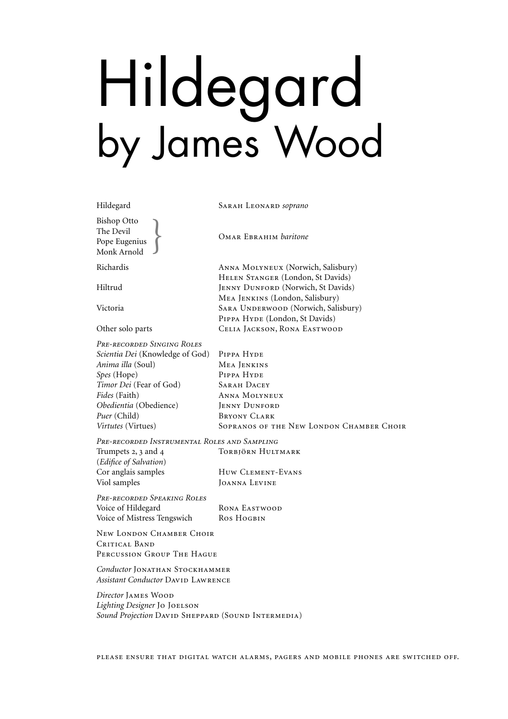## Hildegard by James Wood

Hildegard Sarah Leonard *soprano*

Bishop Otto The Devil Pope Eugenius **COMAR EBRAHIM** *baritone* Monk Arnold }

Richardis Anna Molyneux (Norwich, Salisbury)

Hiltrud JENNY DUNFORD (Norwich, St Davids)

Victoria SARA UNDERWOOD (Norwich, Salisbury)

Other solo parts CELIA JACKSON, RONA EASTWOOD

*Pre-recorded Singing Roles Scientia Dei* (Knowledge of God) PIPPA HYDE *Anima illa* (Soul) Mea Jenkins *Spes* (Hope) PIPPA HYDE **Timor Dei** (Fear of God) **SARAH DACEY** *Fides* (Faith) Anna Molyneux *Obedientia* (Obedience) JENNY DUNFORD *Puer* (Child) BRYONY CLARK *Virtutes* (Virtues) SOPRANOS OF THE NEW LONDON CHAMBER CHOIR

*Pre-recorded Instrumental Roles and Sampling* Trumpets 2, 3 and 4 TORBJÖRN HULTMARK (*Edifice of Salvation*)

Cor anglais samples Huw CLEMENT-EVANS Viol samples Joanna Levine

Helen Stanger (London, St Davids)

Mea Jenkins (London, Salisbury)

PIPPA HYDE (London, St Davids)

*Pre-recorded Speaking Roles* Voice of Hildegard RONA EASTWOOD Voice of Mistress Tengswich Ros HogBIN

New LONDON CHAMBER CHOIR CRITICAL BAND Percussion Group The Hague

*Conductor* JONATHAN STOCKHAMMER **Assistant Conductor DAVID LAWRENCE** 

*Director* James Wood *Lighting Designer* Jo Joelson **Sound Projection DAVID SHEPPARD (SOUND INTERMEDIA)**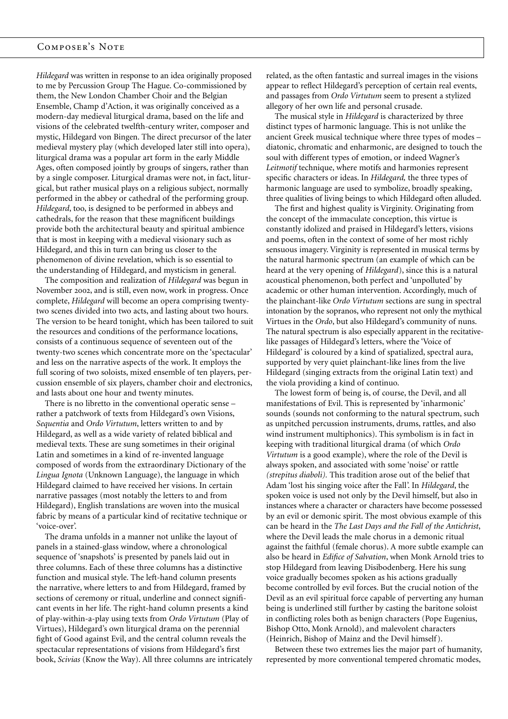## Composer's Note

*Hildegard* was written in response to an idea originally proposed to me by Percussion Group The Hague. Co-commissioned by them, the New London Chamber Choir and the Belgian Ensemble, Champ d'Action, it was originally conceived as a modern-day medieval liturgical drama, based on the life and visions of the celebrated twelfth-century writer, composer and mystic, Hildegard von Bingen. The direct precursor of the later medieval mystery play (which developed later still into opera), liturgical drama was a popular art form in the early Middle Ages, often composed jointly by groups of singers, rather than by a single composer. Liturgical dramas were not, in fact, liturgical, but rather musical plays on a religious subject, normally performed in the abbey or cathedral of the performing group. *Hildegard*, too, is designed to be performed in abbeys and cathedrals, for the reason that these magnificent buildings provide both the architectural beauty and spiritual ambience that is most in keeping with a medieval visionary such as Hildegard, and this in turn can bring us closer to the phenomenon of divine revelation, which is so essential to the understanding of Hildegard, and mysticism in general.

The composition and realization of *Hildegard* was begun in November 2002, and is still, even now, work in progress. Once complete, *Hildegard* will become an opera comprising twentytwo scenes divided into two acts, and lasting about two hours. The version to be heard tonight, which has been tailored to suit the resources and conditions of the performance locations, consists of a continuous sequence of seventeen out of the twenty-two scenes which concentrate more on the 'spectacular' and less on the narrative aspects of the work. It employs the full scoring of two soloists, mixed ensemble of ten players, percussion ensemble of six players, chamber choir and electronics, and lasts about one hour and twenty minutes.

There is no libretto in the conventional operatic sense – rather a patchwork of texts from Hildegard's own Visions, *Sequentia* and *Ordo Virtutum*, letters written to and by Hildegard, as well as a wide variety of related biblical and medieval texts. These are sung sometimes in their original Latin and sometimes in a kind of re-invented language composed of words from the extraordinary Dictionary of the *Lingua Ignota* (Unknown Language), the language in which Hildegard claimed to have received her visions. In certain narrative passages (most notably the letters to and from Hildegard), English translations are woven into the musical fabric by means of a particular kind of recitative technique or 'voice-over'.

The drama unfolds in a manner not unlike the layout of panels in a stained-glass window, where a chronological sequence of 'snapshots' is presented by panels laid out in three columns. Each of these three columns has a distinctive function and musical style. The left-hand column presents the narrative, where letters to and from Hildegard, framed by sections of ceremony or ritual, underline and connect significant events in her life. The right-hand column presents a kind of play-within-a-play using texts from *Ordo Virtutum* (Play of Virtues), Hildegard's own liturgical drama on the perennial fight of Good against Evil, and the central column reveals the spectacular representations of visions from Hildegard's first book, *Scivias* (Know the Way). All three columns are intricately related, as the often fantastic and surreal images in the visions appear to reflect Hildegard's perception of certain real events, and passages from *Ordo Virtutum* seem to present a stylized allegory of her own life and personal crusade.

The musical style in *Hildegard* is characterized by three distinct types of harmonic language. This is not unlike the ancient Greek musical technique where three types of modes – diatonic, chromatic and enharmonic, are designed to touch the soul with different types of emotion, or indeed Wagner's *Leitmotif* technique, where motifs and harmonies represent specific characters or ideas. In *Hildegard,* the three types of harmonic language are used to symbolize, broadly speaking, three qualities of living beings to which Hildegard often alluded.

The first and highest quality is Virginity. Originating from the concept of the immaculate conception, this virtue is constantly idolized and praised in Hildegard's letters, visions and poems, often in the context of some of her most richly sensuous imagery. Virginity is represented in musical terms by the natural harmonic spectrum (an example of which can be heard at the very opening of *Hildegard*), since this is a natural acoustical phenomenon, both perfect and 'unpolluted' by academic or other human intervention. Accordingly, much of the plainchant-like *Ordo Virtutum* sections are sung in spectral intonation by the sopranos, who represent not only the mythical Virtues in the *Ordo*, but also Hildegard's community of nuns. The natural spectrum is also especially apparent in the recitativelike passages of Hildegard's letters, where the 'Voice of Hildegard' is coloured by a kind of spatialized, spectral aura, supported by very quiet plainchant-like lines from the live Hildegard (singing extracts from the original Latin text) and the viola providing a kind of continuo.

The lowest form of being is, of course, the Devil, and all manifestations of Evil. This is represented by 'inharmonic' sounds (sounds not conforming to the natural spectrum, such as unpitched percussion instruments, drums, rattles, and also wind instrument multiphonics). This symbolism is in fact in keeping with traditional liturgical drama (of which *Ordo Virtutum* is a good example), where the role of the Devil is always spoken, and associated with some 'noise' or rattle *(strepitus diaboli).* This tradition arose out of the belief that Adam 'lost his singing voice after the Fall'. In *Hildegard*, the spoken voice is used not only by the Devil himself, but also in instances where a character or characters have become possessed by an evil or demonic spirit. The most obvious example of this can be heard in the *The Last Days and the Fall of the Antichrist*, where the Devil leads the male chorus in a demonic ritual against the faithful (female chorus). A more subtle example can also be heard in *Edifice of Salvation*, when Monk Arnold tries to stop Hildegard from leaving Disibodenberg. Here his sung voice gradually becomes spoken as his actions gradually become controlled by evil forces. But the crucial notion of the Devil as an evil spiritual force capable of perverting any human being is underlined still further by casting the baritone soloist in conflicting roles both as benign characters (Pope Eugenius, Bishop Otto, Monk Arnold), and malevolent characters (Heinrich, Bishop of Mainz and the Devil himself ).

Between these two extremes lies the major part of humanity, represented by more conventional tempered chromatic modes,